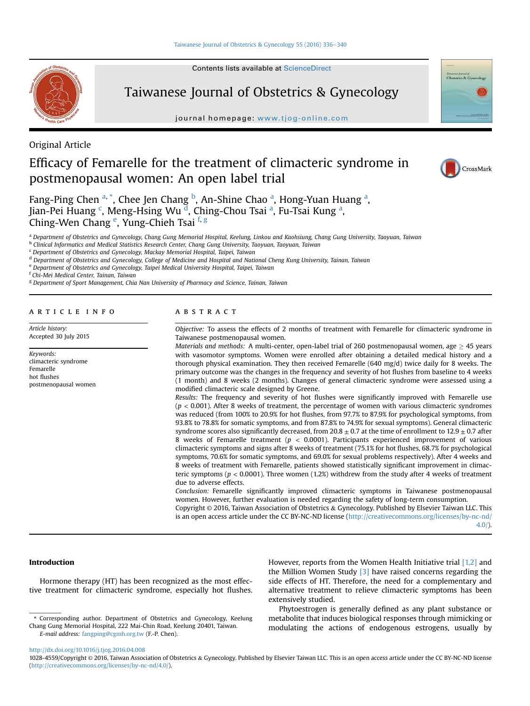Contents lists available at ScienceDirect



Taiwanese Journal of Obstetrics & Gynecology

journal homepage: [www.tjog-online.com](http://www.tjog-online.com)

Original Article

# Efficacy of Femarelle for the treatment of climacteric syndrome in postmenopausal women: An open label trial



CrossMark

Fang-Ping Chen <sup>a, \*</sup>, Chee Jen Chang <sup>b</sup>, An-Shine Chao <sup>a</sup>, Hong-Yuan Huang <sup>a</sup>, Jian-Pei Huang <sup>c</sup>, Meng-Hsing Wu <sup>d</sup>, Ching-Chou Tsai <sup>a</sup>, Fu-Tsai Kung <sup>a</sup>, Ching-Wen Chang <sup>e</sup>, Yung-Chieh Tsai <sup>f, g</sup>

a Department of Obstetrics and Gynecology, Chang Gung Memorial Hospital, Keelung, Linkou and Kaohsiung, Chang Gung University, Taoyuan, Taiwan

<sup>b</sup> Clinical Informatics and Medical Statistics Research Center, Chang Gung University, Taoyuan, Taoyuan, Taiwan

<sup>c</sup> Department of Obstetrics and Gynecology, Mackay Memorial Hospital, Taipei, Taiwan

<sup>d</sup> Department of Obstetrics and Gynecology, College of Medicine and Hospital and National Cheng Kung University, Tainan, Taiwan

e Department of Obstetrics and Gynecology, Taipei Medical University Hospital, Taipei, Taiwan

<sup>f</sup> Chi-Mei Medical Center, Tainan, Taiwan

<sup>g</sup> Department of Sport Management, Chia Nan University of Pharmacy and Science, Tainan, Taiwan

# article info

Article history: Accepted 30 July 2015

Keywords: climacteric syndrome Femarelle hot flushes postmenopausal women

# **ARSTRACT**

Objective: To assess the effects of 2 months of treatment with Femarelle for climacteric syndrome in Taiwanese postmenopausal women.

Materials and methods: A multi-center, open-label trial of 260 postmenopausal women, age  $\geq$  45 years with vasomotor symptoms. Women were enrolled after obtaining a detailed medical history and a thorough physical examination. They then received Femarelle (640 mg/d) twice daily for 8 weeks. The primary outcome was the changes in the frequency and severity of hot flushes from baseline to 4 weeks (1 month) and 8 weeks (2 months). Changes of general climacteric syndrome were assessed using a modified climacteric scale designed by Greene.

Results: The frequency and severity of hot flushes were significantly improved with Femarelle use  $(p < 0.001)$ . After 8 weeks of treatment, the percentage of women with various climacteric syndromes was reduced (from 100% to 20.9% for hot flushes, from 97.7% to 87.9% for psychological symptoms, from 93.8% to 78.8% for somatic symptoms, and from 87.8% to 74.9% for sexual symptoms). General climacteric syndrome scores also significantly decreased, from  $20.8 \pm 0.7$  at the time of enrollment to  $12.9 \pm 0.7$  after 8 weeks of Femarelle treatment ( $p < 0.0001$ ). Participants experienced improvement of various climacteric symptoms and signs after 8 weeks of treatment (75.1% for hot flushes, 68.7% for psychological symptoms, 70.6% for somatic symptoms, and 69.0% for sexual problems respectively). After 4 weeks and 8 weeks of treatment with Femarelle, patients showed statistically significant improvement in climacteric symptoms ( $p < 0.0001$ ). Three women (1.2%) withdrew from the study after 4 weeks of treatment due to adverse effects.

Conclusion: Femarelle significantly improved climacteric symptoms in Taiwanese postmenopausal women. However, further evaluation is needed regarding the safety of long-term consumption.

Copyright © 2016, Taiwan Association of Obstetrics & Gynecology. Published by Elsevier Taiwan LLC. This is an open access article under the CC BY-NC-ND license ([http://creativecommons.org/licenses/by-nc-nd/](http://creativecommons.org/licenses/by-nc-nd/4.0/) [4.0/](http://creativecommons.org/licenses/by-nc-nd/4.0/)).

# Introduction

Hormone therapy (HT) has been recognized as the most effective treatment for climacteric syndrome, especially hot flushes.

E-mail address: [fangping@cgmh.org.tw](mailto:fangping@cgmh.org.tw) (F.-P. Chen).

However, reports from the Women Health Initiative trial [\[1,2\]](#page-4-0) and the Million Women Study  $\left[3\right]$  have raised concerns regarding the side effects of HT. Therefore, the need for a complementary and alternative treatment to relieve climacteric symptoms has been extensively studied.

Phytoestrogen is generally defined as any plant substance or metabolite that induces biological responses through mimicking or modulating the actions of endogenous estrogens, usually by

<http://dx.doi.org/10.1016/j.tjog.2016.04.008>

<sup>\*</sup> Corresponding author. Department of Obstetrics and Gynecology, Keelung Chang Gung Memorial Hospital, 222 Mai-Chin Road, Keelung 20401, Taiwan.

<sup>1028-4559/</sup>Copyright © 2016, Taiwan Association of Obstetrics & Gynecology. Published by Elsevier Taiwan LLC. This is an open access article under the CC BY-NC-ND license [\(http://creativecommons.org/licenses/by-nc-nd/4.0/](http://creativecommons.org/licenses/by-nc-nd/4.0/)).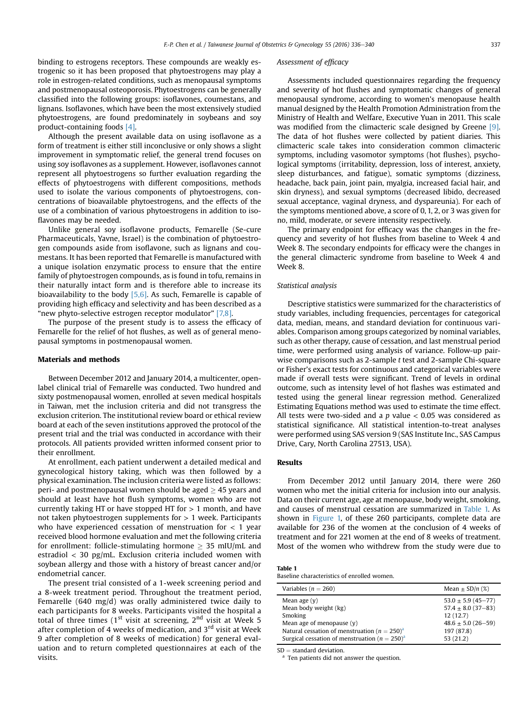binding to estrogens receptors. These compounds are weakly estrogenic so it has been proposed that phytoestrogens may play a role in estrogen-related conditions, such as menopausal symptoms and postmenopausal osteoporosis. Phytoestrogens can be generally classified into the following groups: isoflavones, coumestans, and lignans. Isoflavones, which have been the most extensively studied phytoestrogens, are found predominately in soybeans and soy product-containing foods [\[4\].](#page-4-0)

Although the present available data on using isoflavone as a form of treatment is either still inconclusive or only shows a slight improvement in symptomatic relief, the general trend focuses on using soy isoflavones as a supplement. However, isoflavones cannot represent all phytoestrogens so further evaluation regarding the effects of phytoestrogens with different compositions, methods used to isolate the various components of phytoestrogens, concentrations of bioavailable phytoestrogens, and the effects of the use of a combination of various phytoestrogens in addition to isoflavones may be needed.

Unlike general soy isoflavone products, Femarelle (Se-cure Pharmaceuticals, Yavne, Israel) is the combination of phytoestrogen compounds aside from isoflavone, such as lignans and coumestans. It has been reported that Femarelle is manufactured with a unique isolation enzymatic process to ensure that the entire family of phytoestrogen compounds, as is found in tofu, remains in their naturally intact form and is therefore able to increase its bioavailability to the body [\[5,6\]](#page-4-0). As such, Femarelle is capable of providing high efficacy and selectivity and has been described as a "new phyto-selective estrogen receptor modulator" [\[7,8\]](#page-4-0).

The purpose of the present study is to assess the efficacy of Femarelle for the relief of hot flushes, as well as of general menopausal symptoms in postmenopausal women.

## Materials and methods

Between December 2012 and January 2014, a multicenter, openlabel clinical trial of Femarelle was conducted. Two hundred and sixty postmenopausal women, enrolled at seven medical hospitals in Taiwan, met the inclusion criteria and did not transgress the exclusion criterion. The institutional review board or ethical review board at each of the seven institutions approved the protocol of the present trial and the trial was conducted in accordance with their protocols. All patients provided written informed consent prior to their enrollment.

At enrollment, each patient underwent a detailed medical and gynecological history taking, which was then followed by a physical examination. The inclusion criteria were listed as follows: peri- and postmenopausal women should be aged  $\geq$  45 years and should at least have hot flush symptoms, women who are not currently taking HT or have stopped HT for  $> 1$  month, and have not taken phytoestrogen supplements for  $> 1$  week. Participants who have experienced cessation of menstruation for  $< 1$  year received blood hormone evaluation and met the following criteria for enrollment: follicle-stimulating hormone  $\geq$  35 mIU/mL and estradiol  $<$  30 pg/mL. Exclusion criteria included women with soybean allergy and those with a history of breast cancer and/or endometrial cancer.

The present trial consisted of a 1-week screening period and a 8-week treatment period. Throughout the treatment period, Femarelle (640 mg/d) was orally administered twice daily to each participants for 8 weeks. Participants visited the hospital a total of three times  $(1<sup>st</sup>$  visit at screening,  $2<sup>nd</sup>$  visit at Week 5 after completion of 4 weeks of medication, and  $3<sup>rd</sup>$  visit at Week 9 after completion of 8 weeks of medication) for general evaluation and to return completed questionnaires at each of the visits.

#### Assessment of efficacy

Assessments included questionnaires regarding the frequency and severity of hot flushes and symptomatic changes of general menopausal syndrome, according to women's menopause health manual designed by the Health Promotion Administration from the Ministry of Health and Welfare, Executive Yuan in 2011. This scale was modified from the climacteric scale designed by Greene [\[9\].](#page-4-0) The data of hot flushes were collected by patient diaries. This climacteric scale takes into consideration common climacteric symptoms, including vasomotor symptoms (hot flushes), psychological symptoms (irritability, depression, loss of interest, anxiety, sleep disturbances, and fatigue), somatic symptoms (dizziness, headache, back pain, joint pain, myalgia, increased facial hair, and skin dryness), and sexual symptoms (decreased libido, decreased sexual acceptance, vaginal dryness, and dyspareunia). For each of the symptoms mentioned above, a score of 0, 1, 2, or 3 was given for no, mild, moderate, or severe intensity respectively.

The primary endpoint for efficacy was the changes in the frequency and severity of hot flushes from baseline to Week 4 and Week 8. The secondary endpoints for efficacy were the changes in the general climacteric syndrome from baseline to Week 4 and Week 8.

## Statistical analysis

Descriptive statistics were summarized for the characteristics of study variables, including frequencies, percentages for categorical data, median, means, and standard deviation for continuous variables. Comparison among groups categorized by nominal variables, such as other therapy, cause of cessation, and last menstrual period time, were performed using analysis of variance. Follow-up pairwise comparisons such as 2-sample t test and 2-sample Chi-square or Fisher's exact tests for continuous and categorical variables were made if overall tests were significant. Trend of levels in ordinal outcome, such as intensity level of hot flashes was estimated and tested using the general linear regression method. Generalized Estimating Equations method was used to estimate the time effect. All tests were two-sided and a  $p$  value  $< 0.05$  was considered as statistical significance. All statistical intention-to-treat analyses were performed using SAS version 9 (SAS Institute Inc., SAS Campus Drive, Cary, North Carolina 27513, USA).

#### Results

From December 2012 until January 2014, there were 260 women who met the initial criteria for inclusion into our analysis. Data on their current age, age at menopause, body weight, smoking, and causes of menstrual cessation are summarized in Table 1. As shown in [Figure 1,](#page-2-0) of these 260 participants, complete data are available for 236 of the women at the conclusion of 4 weeks of treatment and for 221 women at the end of 8 weeks of treatment. Most of the women who withdrew from the study were due to

| Table 1                                     |  |
|---------------------------------------------|--|
| Baseline characteristics of enrolled women. |  |

| Variables ( $n = 260$ )                                       | Mean $\pm$ SD/n (%)                              |
|---------------------------------------------------------------|--------------------------------------------------|
| Mean age $(v)$<br>Mean body weight (kg)                       | $53.0 \pm 5.9$ (45-77)<br>$57.4 \pm 8.0$ (37-83) |
| Smoking                                                       | 12(12.7)                                         |
| Mean age of menopause $(v)$                                   | $48.6 \pm 5.0 (26 - 59)$                         |
| Natural cessation of menstruation ( $n = 250$ ) <sup>a</sup>  | 197 (87.8)                                       |
| Surgical cessation of menstruation ( $n = 250$ ) <sup>a</sup> | 53(21.2)                                         |

 $SD =$  standard deviation.<br><sup>a</sup> Ten patients did not answer the question.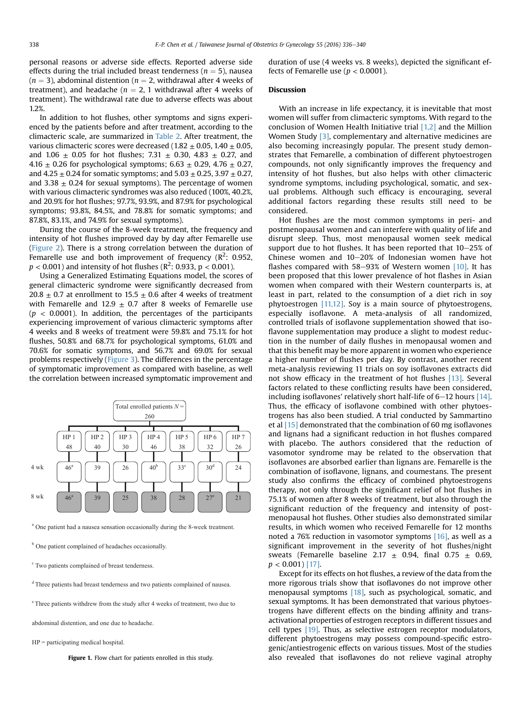<span id="page-2-0"></span>personal reasons or adverse side effects. Reported adverse side effects during the trial included breast tenderness ( $n = 5$ ), nausea  $(n = 3)$ , abdominal distention  $(n = 2)$ , withdrawal after 4 weeks of treatment), and headache ( $n = 2$ , 1 withdrawal after 4 weeks of treatment). The withdrawal rate due to adverse effects was about 1.2%.

In addition to hot flushes, other symptoms and signs experienced by the patients before and after treatment, according to the climacteric scale, are summarized in [Table 2](#page-3-0). After treatment, the various climacteric scores were decreased (1.82  $\pm$  0.05, 1.40  $\pm$  0.05, and  $1.06 \pm 0.05$  for hot flushes; 7.31  $\pm$  0.30, 4.83  $\pm$  0.27, and 4.16  $\pm$  0.26 for psychological symptoms; 6.63  $\pm$  0.29, 4.76  $\pm$  0.27, and  $4.25 \pm 0.24$  for somatic symptoms; and  $5.03 \pm 0.25$ ,  $3.97 \pm 0.27$ , and 3.38  $\pm$  0.24 for sexual symptoms). The percentage of women with various climacteric syndromes was also reduced (100%, 40.2%, and 20.9% for hot flushes; 97.7%, 93.9%, and 87.9% for psychological symptoms; 93.8%, 84.5%, and 78.8% for somatic symptoms; and 87.8%, 83.1%, and 74.9% for sexual symptoms).

During the course of the 8-week treatment, the frequency and intensity of hot flushes improved day by day after Femarelle use ([Figure 2](#page-3-0)). There is a strong correlation between the duration of Femarelle use and both improvement of frequency ( $\mathbb{R}^2$ : 0.952,  $p < 0.001$  ) and intensity of hot flushes (R<sup>2</sup>: 0.933, p < 0.001).

Using a Generalized Estimating Equations model, the scores of general climacteric syndrome were significantly decreased from 20.8  $\pm$  0.7 at enrollment to 15.5  $\pm$  0.6 after 4 weeks of treatment with Femarelle and 12.9  $\pm$  0.7 after 8 weeks of Femarelle use  $(p < 0.0001)$ . In addition, the percentages of the participants experiencing improvement of various climacteric symptoms after 4 weeks and 8 weeks of treatment were 59.8% and 75.1% for hot flushes, 50.8% and 68.7% for psychological symptoms, 61.0% and 70.6% for somatic symptoms, and 56.7% and 69.0% for sexual problems respectively ([Figure 3](#page-3-0)). The differences in the percentage of symptomatic improvement as compared with baseline, as well the correlation between increased symptomatic improvement and



<sup>a</sup> One patient had a nausea sensation occasionally during the 8-week treatment.

<sup>b</sup> One patient complained of headaches occasionally.

<sup>c</sup> Two patients complained of breast tenderness.

<sup>d</sup> Three patients had breast tenderness and two patients complained of nausea.

e Three patients withdrew from the study after 4 weeks of treatment, two due to

abdominal distention, and one due to headache.

HP = participating medical hospital.

Figure 1. Flow chart for patients enrolled in this study.

duration of use (4 weeks vs. 8 weeks), depicted the significant effects of Femarelle use ( $p < 0.0001$ ).

# Discussion

With an increase in life expectancy, it is inevitable that most women will suffer from climacteric symptoms. With regard to the conclusion of Women Health Initiative trial [\[1,2\]](#page-4-0) and the Million Women Study  $[3]$ , complementary and alternative medicines are also becoming increasingly popular. The present study demonstrates that Femarelle, a combination of different phytoestrogen compounds, not only significantly improves the frequency and intensity of hot flushes, but also helps with other climacteric syndrome symptoms, including psychological, somatic, and sexual problems. Although such efficacy is encouraging, several additional factors regarding these results still need to be considered.

Hot flushes are the most common symptoms in peri- and postmenopausal women and can interfere with quality of life and disrupt sleep. Thus, most menopausal women seek medical support due to hot flushes. It has been reported that  $10-25\%$  of Chinese women and  $10-20%$  of Indonesian women have hot flashes compared with 58-93% of Western women  $[10]$ . It has been proposed that this lower prevalence of hot flashes in Asian women when compared with their Western counterparts is, at least in part, related to the consumption of a diet rich in soy phytoestrogen [\[11,12\]](#page-4-0). Soy is a main source of phytoestrogens, especially isoflavone. A meta-analysis of all randomized, controlled trials of isoflavone supplementation showed that isoflavone supplementation may produce a slight to modest reduction in the number of daily flushes in menopausal women and that this benefit may be more apparent in women who experience a higher number of flushes per day. By contrast, another recent meta-analysis reviewing 11 trials on soy isoflavones extracts did not show efficacy in the treatment of hot flushes [\[13\]](#page-4-0). Several factors related to these conflicting results have been considered, including isoflavones' relatively short half-life of  $6-12$  hours [\[14\].](#page-4-0) Thus, the efficacy of isoflavone combined with other phytoestrogens has also been studied. A trial conducted by Sammartino et al [\[15\]](#page-4-0) demonstrated that the combination of 60 mg isoflavones and lignans had a significant reduction in hot flushes compared with placebo. The authors considered that the reduction of vasomotor syndrome may be related to the observation that isoflavones are absorbed earlier than lignans are. Femarelle is the combination of isoflavone, lignans, and coumestans. The present study also confirms the efficacy of combined phytoestrogens therapy, not only through the significant relief of hot flushes in 75.1% of women after 8 weeks of treatment, but also through the significant reduction of the frequency and intensity of postmenopausal hot flushes. Other studies also demonstrated similar results, in which women who received Femarelle for 12 months noted a 76% reduction in vasomotor symptoms [\[16\],](#page-4-0) as well as a significant improvement in the severity of hot flushes/night sweats (Femarelle baseline 2.17  $\pm$  0.94, final 0.75  $\pm$  0.69,  $p < 0.001$  [\[17\]](#page-4-0).

Except for its effects on hot flushes, a review of the data from the more rigorous trials show that isoflavones do not improve other menopausal symptoms [\[18\]](#page-4-0), such as psychological, somatic, and sexual symptoms. It has been demonstrated that various phytoestrogens have different effects on the binding affinity and transactivational properties of estrogen receptors in different tissues and cell types [\[19\].](#page-4-0) Thus, as selective estrogen receptor modulators, different phytoestrogens may possess compound-specific estrogenic/antiestrogenic effects on various tissues. Most of the studies also revealed that isoflavones do not relieve vaginal atrophy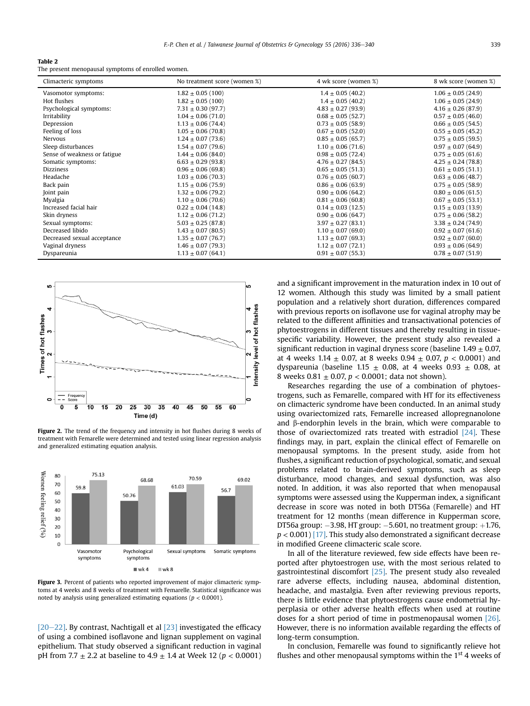#### <span id="page-3-0"></span>Table 2

The present menopausal symptoms of enrolled women.

| Climacteric symptoms         | No treatment score (women %) | 4 wk score (women %)   | 8 wk score (women %)   |
|------------------------------|------------------------------|------------------------|------------------------|
| Vasomotor symptoms:          | $1.82 \pm 0.05$ (100)        | $1.4 \pm 0.05$ (40.2)  | $1.06 \pm 0.05$ (24.9) |
| Hot flushes                  | $1.82 \pm 0.05$ (100)        | $1.4 \pm 0.05(40.2)$   | $1.06 \pm 0.05$ (24.9) |
| Psychological symptoms:      | $7.31 \pm 0.30$ (97.7)       | $4.83 \pm 0.27$ (93.9) | $4.16 \pm 0.26$ (87.9) |
| Irritability                 | $1.04 \pm 0.06(71.0)$        | $0.68 \pm 0.05$ (52.7) | $0.57 \pm 0.05$ (46.0) |
| Depression                   | $1.13 \pm 0.06$ (74.4)       | $0.73 \pm 0.05$ (58.9) | $0.66 \pm 0.05$ (54.5) |
| Feeling of loss              | $1.05 \pm 0.06$ (70.8)       | $0.67 \pm 0.05$ (52.0) | $0.55 \pm 0.05$ (45.2) |
| Nervous                      | $1.24 \pm 0.07(73.6)$        | $0.85 \pm 0.05$ (65.7) | $0.75 \pm 0.05$ (59.5) |
| Sleep disturbances           | $1.54 \pm 0.07(79.6)$        | $1.10 \pm 0.06$ (71.6) | $0.97 \pm 0.07$ (64.9) |
| Sense of weakness or fatigue | $1.44 \pm 0.06$ (84.0)       | $0.98 \pm 0.05$ (72.4) | $0.75 \pm 0.05$ (61.6) |
| Somatic symptoms:            | $6.63 \pm 0.29$ (93.8)       | $4.76 \pm 0.27$ (84.5) | $4.25 \pm 0.24$ (78.8) |
| <b>Dizziness</b>             | $0.96 \pm 0.06$ (69.8)       | $0.65 \pm 0.05$ (51.3) | $0.61 \pm 0.05$ (51.1) |
| Headache                     | $1.03 \pm 0.06$ (70.3)       | $0.76 \pm 0.05$ (60.7) | $0.63 \pm 0.06$ (48.7) |
| Back pain                    | $1.15 \pm 0.06(75.9)$        | $0.86 \pm 0.06$ (63.9) | $0.75 \pm 0.05$ (58.9) |
| Joint pain                   | $1.32 \pm 0.06(79.2)$        | $0.90 \pm 0.06$ (64.2) | $0.80 \pm 0.06$ (61.5) |
| Myalgia                      | $1.10 \pm 0.06$ (70.6)       | $0.81 \pm 0.06$ (60.8) | $0.67 \pm 0.05(53.1)$  |
| Increased facial hair        | $0.22 \pm 0.04$ (14.8)       | $0.14 \pm 0.03$ (12.5) | $0.15 \pm 0.03$ (13.9) |
| Skin dryness                 | $1.12 \pm 0.06(71.2)$        | $0.90 \pm 0.06$ (64.7) | $0.75 \pm 0.06$ (58.2) |
| Sexual symptoms:             | $5.03 \pm 0.25$ (87.8)       | $3.97 \pm 0.27$ (83.1) | $3.38 \pm 0.24$ (74.9) |
| Decreased libido             | $1.43 \pm 0.07$ (80.5)       | $1.10 \pm 0.07$ (69.0) | $0.92 \pm 0.07$ (61.6) |
| Decreased sexual acceptance  | $1.35 \pm 0.07(76.7)$        | $1.13 \pm 0.07$ (69.3) | $0.92 \pm 0.07$ (60.0) |
| Vaginal dryness              | $1.46 \pm 0.07(79.3)$        | $1.12 \pm 0.07(72.1)$  | $0.93 \pm 0.06$ (64.9) |
| Dyspareunia                  | $1.13 \pm 0.07$ (64.1)       | $0.91 \pm 0.07$ (55.3) | $0.78 \pm 0.07$ (51.9) |



Figure 2. The trend of the frequency and intensity in hot flushes during 8 weeks of treatment with Femarelle were determined and tested using linear regression analysis and generalized estimating equation analysis.



Figure 3. Percent of patients who reported improvement of major climacteric symptoms at 4 weeks and 8 weeks of treatment with Femarelle. Statistical significance was noted by analysis using generalized estimating equations ( $p < 0.0001$ ).

 $[20-22]$  $[20-22]$ . By contrast, Nachtigall et al  $[23]$  investigated the efficacy of using a combined isoflavone and lignan supplement on vaginal epithelium. That study observed a significant reduction in vaginal pH from 7.7  $\pm$  2.2 at baseline to 4.9  $\pm$  1.4 at Week 12 (p < 0.0001) and a significant improvement in the maturation index in 10 out of 12 women. Although this study was limited by a small patient population and a relatively short duration, differences compared with previous reports on isoflavone use for vaginal atrophy may be related to the different affinities and transactivational potencies of phytoestrogens in different tissues and thereby resulting in tissuespecific variability. However, the present study also revealed a significant reduction in vaginal dryness score (baseline  $1.49 \pm 0.07$ , at 4 weeks 1.14  $\pm$  0.07, at 8 weeks 0.94  $\pm$  0.07, p < 0.0001) and dyspareunia (baseline 1.15  $\pm$  0.08, at 4 weeks 0.93  $\pm$  0.08, at 8 weeks 0.81  $\pm$  0.07, p < 0.0001; data not shown).

Researches regarding the use of a combination of phytoestrogens, such as Femarelle, compared with HT for its effectiveness on climacteric syndrome have been conducted. In an animal study using ovariectomized rats, Femarelle increased allopregnanolone and  $\beta$ -endorphin levels in the brain, which were comparable to those of ovariectomized rats treated with estradiol  $[24]$ . These findings may, in part, explain the clinical effect of Femarelle on menopausal symptoms. In the present study, aside from hot flushes, a significant reduction of psychological, somatic, and sexual problems related to brain-derived symptoms, such as sleep disturbance, mood changes, and sexual dysfunction, was also noted. In addition, it was also reported that when menopausal symptoms were assessed using the Kupperman index, a significant decrease in score was noted in both DT56a (Femarelle) and HT treatment for 12 months (mean difference in Kupperman score, DT56a group:  $-3.98$ , HT group:  $-5.601$ , no treatment group:  $+1.76$ ,  $p < 0.001$  [\[17\]](#page-4-0). This study also demonstrated a significant decrease in modified Greene climacteric scale score.

In all of the literature reviewed, few side effects have been reported after phytoestrogen use, with the most serious related to gastrointestinal discomfort [\[25\]](#page-4-0). The present study also revealed rare adverse effects, including nausea, abdominal distention, headache, and mastalgia. Even after reviewing previous reports, there is little evidence that phytoestrogens cause endometrial hyperplasia or other adverse health effects when used at routine doses for a short period of time in postmenopausal women [\[26\].](#page-4-0) However, there is no information available regarding the effects of long-term consumption.

In conclusion, Femarelle was found to significantly relieve hot flushes and other menopausal symptoms within the  $1<sup>st</sup>$  4 weeks of